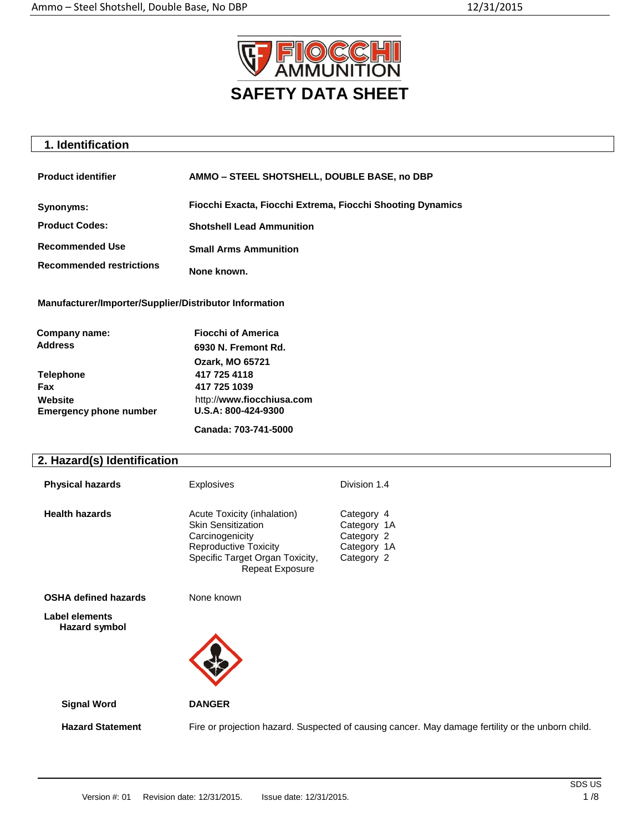

# **1. Identification**

| <b>Product identifier</b>       | AMMO - STEEL SHOTSHELL, DOUBLE BASE, no DBP                |
|---------------------------------|------------------------------------------------------------|
| Synonyms:                       | Fiocchi Exacta, Fiocchi Extrema, Fiocchi Shooting Dynamics |
| <b>Product Codes:</b>           | <b>Shotshell Lead Ammunition</b>                           |
| <b>Recommended Use</b>          | <b>Small Arms Ammunition</b>                               |
| <b>Recommended restrictions</b> | None known.                                                |

**Manufacturer/Importer/Supplier/Distributor Information**

| Company name:                 | <b>Fiocchi of America</b> |
|-------------------------------|---------------------------|
| <b>Address</b>                | 6930 N. Fremont Rd.       |
|                               | <b>Ozark, MO 65721</b>    |
| <b>Telephone</b>              | 417 725 4118              |
| Fax                           | 417 725 1039              |
| Website                       | http://www.fiocchiusa.com |
| <b>Emergency phone number</b> | U.S.A: 800-424-9300       |
|                               | Canada: 703-741-5000      |

# **2. Hazard(s) Identification**

| <b>Physical hazards</b> | <b>Explosives</b>                                                                                                                                                        | Division 1.4                                                         |
|-------------------------|--------------------------------------------------------------------------------------------------------------------------------------------------------------------------|----------------------------------------------------------------------|
| <b>Health hazards</b>   | Acute Toxicity (inhalation)<br><b>Skin Sensitization</b><br>Carcinogenicity<br><b>Reproductive Toxicity</b><br>Specific Target Organ Toxicity,<br><b>Repeat Exposure</b> | Category 4<br>Category 1A<br>Category 2<br>Category 1A<br>Category 2 |

**OSHA defined hazards** None known

**Label elements Hazard symbol**



 **Signal Word DANGER**

 **Hazard Statement** Fire or projection hazard. Suspected of causing cancer. May damage fertility or the unborn child.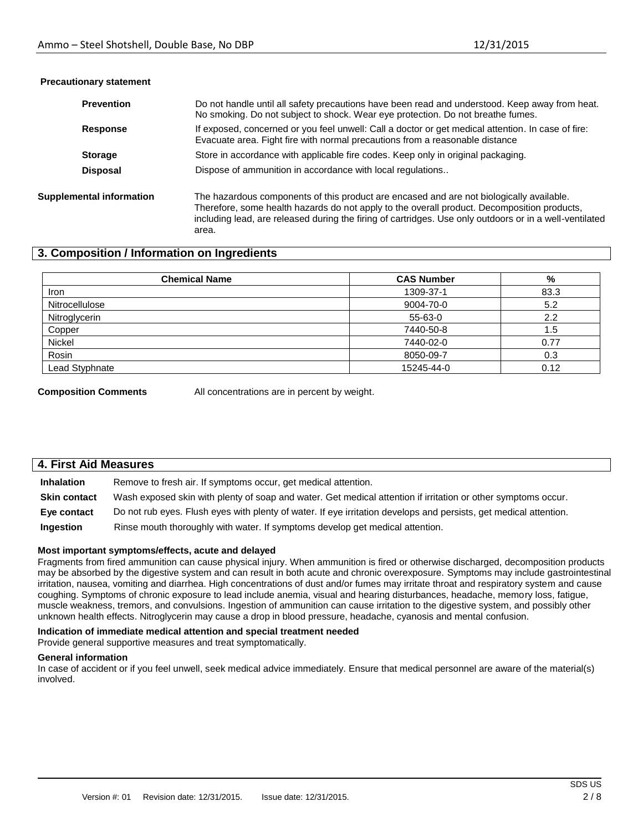| <b>Prevention</b>               | Do not handle until all safety precautions have been read and understood. Keep away from heat.<br>No smoking. Do not subject to shock. Wear eye protection. Do not breathe fumes.                                                                                                                           |
|---------------------------------|-------------------------------------------------------------------------------------------------------------------------------------------------------------------------------------------------------------------------------------------------------------------------------------------------------------|
| <b>Response</b>                 | If exposed, concerned or you feel unwell: Call a doctor or get medical attention. In case of fire:<br>Evacuate area. Fight fire with normal precautions from a reasonable distance                                                                                                                          |
| <b>Storage</b>                  | Store in accordance with applicable fire codes. Keep only in original packaging.                                                                                                                                                                                                                            |
| <b>Disposal</b>                 | Dispose of ammunition in accordance with local regulations                                                                                                                                                                                                                                                  |
| <b>Supplemental information</b> | The hazardous components of this product are encased and are not biologically available.<br>Therefore, some health hazards do not apply to the overall product. Decomposition products,<br>including lead, are released during the firing of cartridges. Use only outdoors or in a well-ventilated<br>area. |

#### **Precautionary statement**

# **3. Composition / Information on Ingredients**

| <b>Chemical Name</b> | <b>CAS Number</b> | %    |
|----------------------|-------------------|------|
| Iron                 | 1309-37-1         | 83.3 |
| Nitrocellulose       | 9004-70-0         | 5.2  |
| Nitroglycerin        | 55-63-0           | 2.2  |
| Copper               | 7440-50-8         | 1.5  |
| Nickel               | 7440-02-0         | 0.77 |
| Rosin                | 8050-09-7         | 0.3  |
| Lead Styphnate       | 15245-44-0        | 0.12 |

**Composition Comments** All concentrations are in percent by weight.

| 4. First Aid Measures |                                                                                                                   |  |  |
|-----------------------|-------------------------------------------------------------------------------------------------------------------|--|--|
| <b>Inhalation</b>     | Remove to fresh air. If symptoms occur, get medical attention.                                                    |  |  |
| <b>Skin contact</b>   | Wash exposed skin with plenty of soap and water. Get medical attention if irritation or other symptoms occur.     |  |  |
| Eye contact           | Do not rub eyes. Flush eyes with plenty of water. If eye irritation develops and persists, get medical attention. |  |  |
| Ingestion             | Rinse mouth thoroughly with water. If symptoms develop get medical attention.                                     |  |  |

#### **Most important symptoms/effects, acute and delayed**

Fragments from fired ammunition can cause physical injury. When ammunition is fired or otherwise discharged, decomposition products may be absorbed by the digestive system and can result in both acute and chronic overexposure. Symptoms may include gastrointestinal irritation, nausea, vomiting and diarrhea. High concentrations of dust and/or fumes may irritate throat and respiratory system and cause coughing. Symptoms of chronic exposure to lead include anemia, visual and hearing disturbances, headache, memory loss, fatigue, muscle weakness, tremors, and convulsions. Ingestion of ammunition can cause irritation to the digestive system, and possibly other unknown health effects. Nitroglycerin may cause a drop in blood pressure, headache, cyanosis and mental confusion.

#### **Indication of immediate medical attention and special treatment needed**

Provide general supportive measures and treat symptomatically.

#### **General information**

In case of accident or if you feel unwell, seek medical advice immediately. Ensure that medical personnel are aware of the material(s) involved.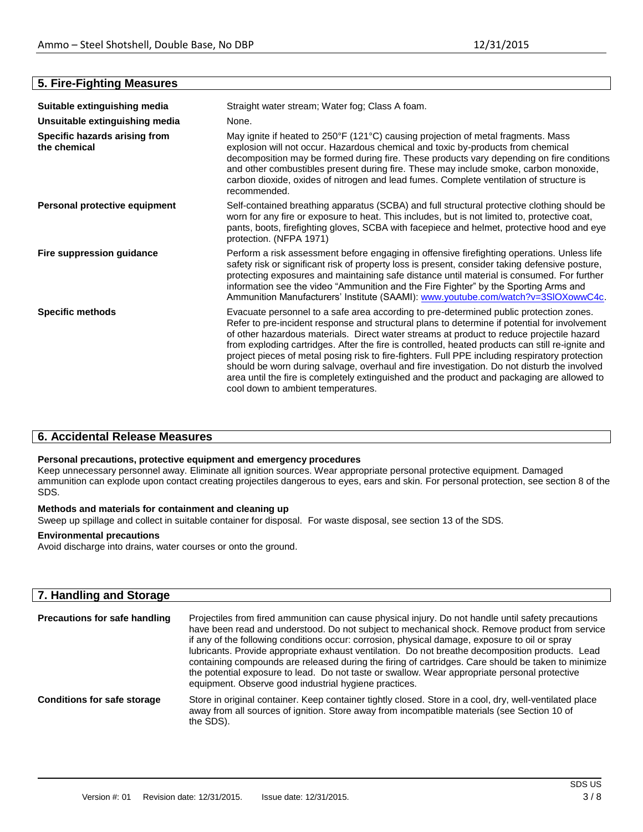| Suitable extinguishing media                  | Straight water stream; Water fog; Class A foam.                                                                                                                                                                                                                                                                                                                                                                                                                                                                                                                                                                                                                                                                                 |  |  |
|-----------------------------------------------|---------------------------------------------------------------------------------------------------------------------------------------------------------------------------------------------------------------------------------------------------------------------------------------------------------------------------------------------------------------------------------------------------------------------------------------------------------------------------------------------------------------------------------------------------------------------------------------------------------------------------------------------------------------------------------------------------------------------------------|--|--|
| Unsuitable extinguishing media                | None.                                                                                                                                                                                                                                                                                                                                                                                                                                                                                                                                                                                                                                                                                                                           |  |  |
| Specific hazards arising from<br>the chemical | May ignite if heated to 250°F (121°C) causing projection of metal fragments. Mass<br>explosion will not occur. Hazardous chemical and toxic by-products from chemical<br>decomposition may be formed during fire. These products vary depending on fire conditions<br>and other combustibles present during fire. These may include smoke, carbon monoxide,<br>carbon dioxide, oxides of nitrogen and lead fumes. Complete ventilation of structure is<br>recommended.                                                                                                                                                                                                                                                          |  |  |
| Personal protective equipment                 | Self-contained breathing apparatus (SCBA) and full structural protective clothing should be<br>worn for any fire or exposure to heat. This includes, but is not limited to, protective coat,<br>pants, boots, firefighting gloves, SCBA with facepiece and helmet, protective hood and eye<br>protection. (NFPA 1971)                                                                                                                                                                                                                                                                                                                                                                                                           |  |  |
| Fire suppression guidance                     | Perform a risk assessment before engaging in offensive firefighting operations. Unless life<br>safety risk or significant risk of property loss is present, consider taking defensive posture,<br>protecting exposures and maintaining safe distance until material is consumed. For further<br>information see the video "Ammunition and the Fire Fighter" by the Sporting Arms and<br>Ammunition Manufacturers' Institute (SAAMI): www.youtube.com/watch?v=3SIOXowwC4c.                                                                                                                                                                                                                                                       |  |  |
| <b>Specific methods</b>                       | Evacuate personnel to a safe area according to pre-determined public protection zones.<br>Refer to pre-incident response and structural plans to determine if potential for involvement<br>of other hazardous materials. Direct water streams at product to reduce projectile hazard<br>from exploding cartridges. After the fire is controlled, heated products can still re-ignite and<br>project pieces of metal posing risk to fire-fighters. Full PPE including respiratory protection<br>should be worn during salvage, overhaul and fire investigation. Do not disturb the involved<br>area until the fire is completely extinguished and the product and packaging are allowed to<br>cool down to ambient temperatures. |  |  |

# **6. Accidental Release Measures**

## **Personal precautions, protective equipment and emergency procedures**

Keep unnecessary personnel away. Eliminate all ignition sources. Wear appropriate personal protective equipment. Damaged ammunition can explode upon contact creating projectiles dangerous to eyes, ears and skin. For personal protection, see section 8 of the SDS.

# **Methods and materials for containment and cleaning up**

Sweep up spillage and collect in suitable container for disposal. For waste disposal, see section 13 of the SDS.

# **Environmental precautions**

Avoid discharge into drains, water courses or onto the ground.

| 7. Handling and Storage              |                                                                                                                                                                                                                                                                                                                                                                                                                                                                                                                                                                                                                                                                              |
|--------------------------------------|------------------------------------------------------------------------------------------------------------------------------------------------------------------------------------------------------------------------------------------------------------------------------------------------------------------------------------------------------------------------------------------------------------------------------------------------------------------------------------------------------------------------------------------------------------------------------------------------------------------------------------------------------------------------------|
| <b>Precautions for safe handling</b> | Projectiles from fired ammunition can cause physical injury. Do not handle until safety precautions<br>have been read and understood. Do not subject to mechanical shock. Remove product from service<br>if any of the following conditions occur: corrosion, physical damage, exposure to oil or spray<br>lubricants. Provide appropriate exhaust ventilation. Do not breathe decomposition products. Lead<br>containing compounds are released during the firing of cartridges. Care should be taken to minimize<br>the potential exposure to lead. Do not taste or swallow. Wear appropriate personal protective<br>equipment. Observe good industrial hygiene practices. |
| <b>Conditions for safe storage</b>   | Store in original container. Keep container tightly closed. Store in a cool, dry, well-ventilated place<br>away from all sources of ignition. Store away from incompatible materials (see Section 10 of<br>the SDS).                                                                                                                                                                                                                                                                                                                                                                                                                                                         |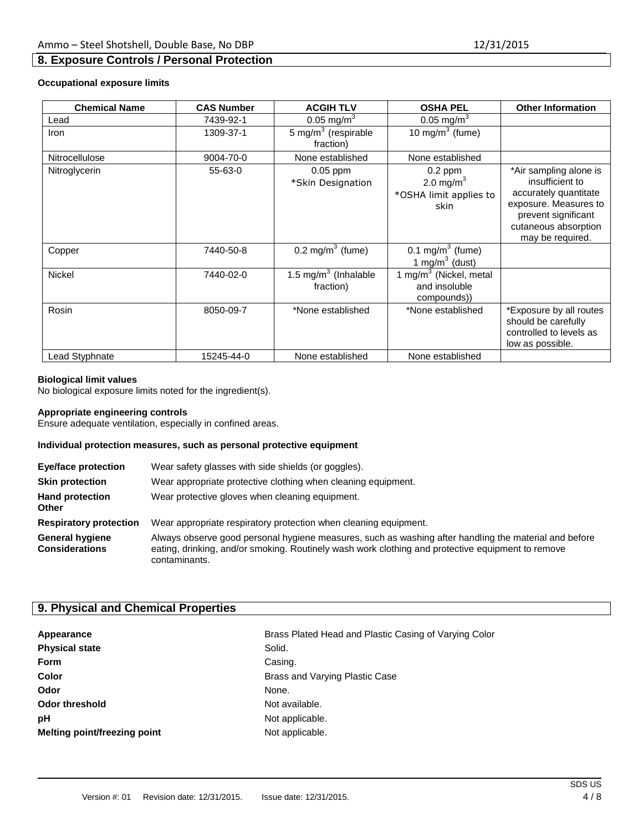# **8. Exposure Controls / Personal Protection**

## **Occupational exposure limits**

| <b>Chemical Name</b>  | <b>CAS Number</b> | <b>ACGIH TLV</b>                     | <b>OSHA PEL</b>                                             | <b>Other Information</b>                                                                                                                                       |
|-----------------------|-------------------|--------------------------------------|-------------------------------------------------------------|----------------------------------------------------------------------------------------------------------------------------------------------------------------|
| Lead                  | 7439-92-1         | 0.05 mg/m <sup>3</sup>               | $0.05 \text{ mg/m}^3$                                       |                                                                                                                                                                |
| Iron                  | 1309-37-1         | 5 mg/m $3$ (respirable<br>fraction)  | 10 mg/m $3$ (fume)                                          |                                                                                                                                                                |
| <b>Nitrocellulose</b> | 9004-70-0         | None established                     | None established                                            |                                                                                                                                                                |
| Nitroglycerin         | 55-63-0           | $0.05$ ppm<br>*Skin Designation      | $0.2$ ppm<br>2.0 mg/m $3$<br>*OSHA limit applies to<br>skin | *Air sampling alone is<br>insufficient to<br>accurately quantitate<br>exposure. Measures to<br>prevent significant<br>cutaneous absorption<br>may be required. |
| Copper                | 7440-50-8         | $0.2 \text{ mg/m}^3$ (fume)          | 0.1 mg/m <sup>3</sup> (fume)<br>1 mg/m $3$ (dust)           |                                                                                                                                                                |
| <b>Nickel</b>         | 7440-02-0         | 1.5 mg/m $3$ (Inhalable<br>fraction) | 1 mg/m $3$ (Nickel, metal<br>and insoluble<br>compounds))   |                                                                                                                                                                |
| Rosin                 | 8050-09-7         | *None established                    | *None established                                           | *Exposure by all routes<br>should be carefully<br>controlled to levels as<br>low as possible.                                                                  |
| Lead Styphnate        | 15245-44-0        | None established                     | None established                                            |                                                                                                                                                                |

#### **Biological limit values**

No biological exposure limits noted for the ingredient(s).

#### **Appropriate engineering controls**

Ensure adequate ventilation, especially in confined areas.

# **Individual protection measures, such as personal protective equipment**

| <b>Eye/face protection</b>                      | Wear safety glasses with side shields (or goggles).                                                                                                                                                                         |
|-------------------------------------------------|-----------------------------------------------------------------------------------------------------------------------------------------------------------------------------------------------------------------------------|
| <b>Skin protection</b>                          | Wear appropriate protective clothing when cleaning equipment.                                                                                                                                                               |
| <b>Hand protection</b><br><b>Other</b>          | Wear protective gloves when cleaning equipment.                                                                                                                                                                             |
| <b>Respiratory protection</b>                   | Wear appropriate respiratory protection when cleaning equipment.                                                                                                                                                            |
| <b>General hygiene</b><br><b>Considerations</b> | Always observe good personal hygiene measures, such as washing after handling the material and before<br>eating, drinking, and/or smoking. Routinely wash work clothing and protective equipment to remove<br>contaminants. |

# **9. Physical and Chemical Properties**

| Appearance                   | Brass        |
|------------------------------|--------------|
| <b>Physical state</b>        | Solid.       |
| <b>Form</b>                  | Casin        |
| Color                        | <b>Brass</b> |
| Odor                         | None.        |
| <b>Odor threshold</b>        | Not av       |
| рH                           | Not ap       |
| Melting point/freezing point | Not ap       |

**Brass Plated Head and Plastic Casing of Varying Color** Casing. **Color** Brass and Varying Plastic Case **Not available.** Not applicable. Not applicable.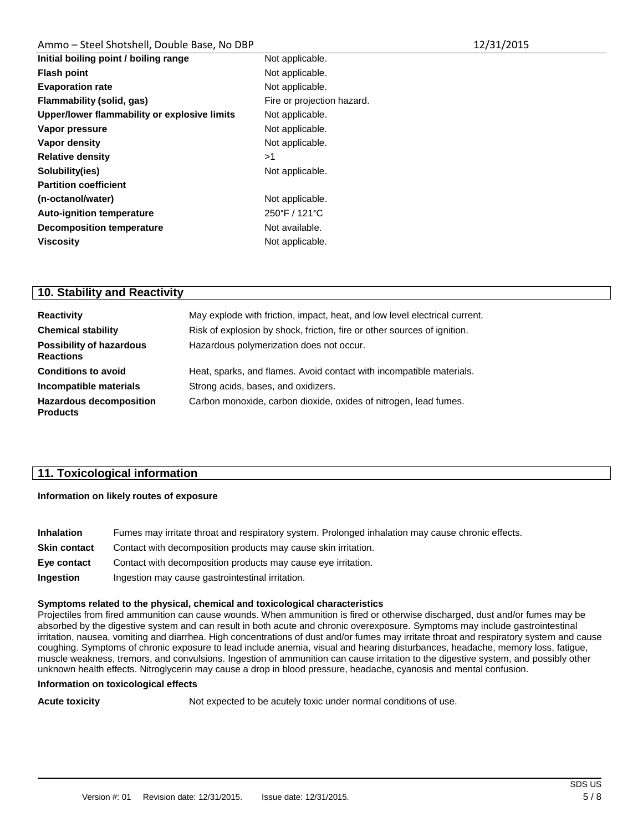# Ammo - Steel Shotshell, Double Base, No DBP

| 12/31/2015 |  |
|------------|--|
|------------|--|

| Initial boiling point / boiling range        | Not applicable.            |
|----------------------------------------------|----------------------------|
| <b>Flash point</b>                           | Not applicable.            |
| <b>Evaporation rate</b>                      | Not applicable.            |
| Flammability (solid, gas)                    | Fire or projection hazard. |
| Upper/lower flammability or explosive limits | Not applicable.            |
| Vapor pressure                               | Not applicable.            |
| Vapor density                                | Not applicable.            |
| <b>Relative density</b>                      | >1                         |
| Solubility(ies)                              | Not applicable.            |
| <b>Partition coefficient</b>                 |                            |
| (n-octanol/water)                            | Not applicable.            |
| <b>Auto-ignition temperature</b>             | 250°F / 121°C              |
| <b>Decomposition temperature</b>             | Not available.             |
| <b>Viscosity</b>                             | Not applicable.            |
|                                              |                            |

# **10. Stability and Reactivity**

| <b>Reactivity</b>                                   | May explode with friction, impact, heat, and low level electrical current. |
|-----------------------------------------------------|----------------------------------------------------------------------------|
| <b>Chemical stability</b>                           | Risk of explosion by shock, friction, fire or other sources of ignition.   |
| <b>Possibility of hazardous</b><br><b>Reactions</b> | Hazardous polymerization does not occur.                                   |
| <b>Conditions to avoid</b>                          | Heat, sparks, and flames. Avoid contact with incompatible materials.       |
| Incompatible materials                              | Strong acids, bases, and oxidizers.                                        |
| <b>Hazardous decomposition</b><br><b>Products</b>   | Carbon monoxide, carbon dioxide, oxides of nitrogen, lead fumes.           |

# **11. Toxicological information**

# **Information on likely routes of exposure**

| <b>Inhalation</b>   | Fumes may irritate throat and respiratory system. Prolonged inhalation may cause chronic effects. |
|---------------------|---------------------------------------------------------------------------------------------------|
| <b>Skin contact</b> | Contact with decomposition products may cause skin irritation.                                    |
| Eye contact         | Contact with decomposition products may cause eye irritation.                                     |
| Ingestion           | Ingestion may cause gastrointestinal irritation.                                                  |

## **Symptoms related to the physical, chemical and toxicological characteristics**

Projectiles from fired ammunition can cause wounds. When ammunition is fired or otherwise discharged, dust and/or fumes may be absorbed by the digestive system and can result in both acute and chronic overexposure. Symptoms may include gastrointestinal irritation, nausea, vomiting and diarrhea. High concentrations of dust and/or fumes may irritate throat and respiratory system and cause coughing. Symptoms of chronic exposure to lead include anemia, visual and hearing disturbances, headache, memory loss, fatigue, muscle weakness, tremors, and convulsions. Ingestion of ammunition can cause irritation to the digestive system, and possibly other unknown health effects. Nitroglycerin may cause a drop in blood pressure, headache, cyanosis and mental confusion.

## **Information on toxicological effects**

**Acute toxicity Not expected to be acutely toxic under normal conditions of use.**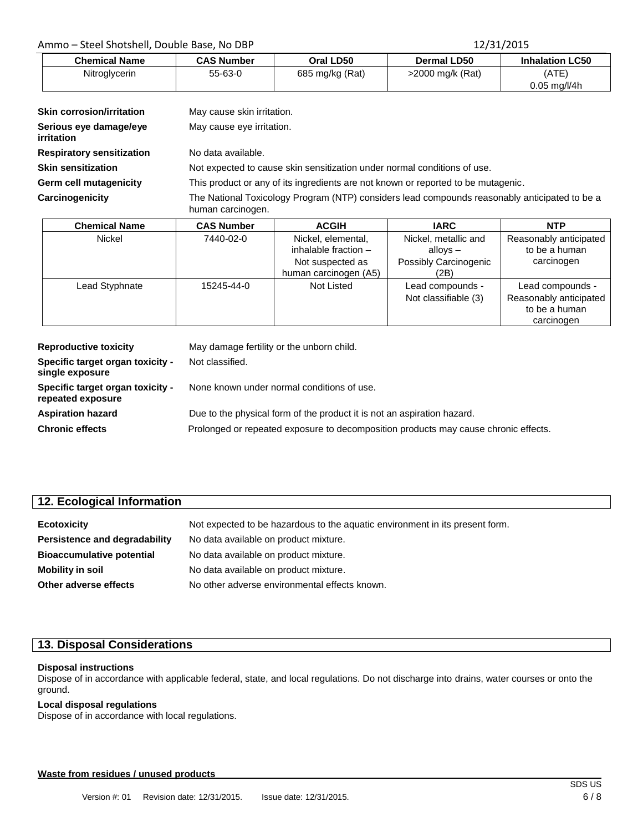# Ammo – Steel Shotshell, Double Base, No DBP 12/31/2015

| <b>Chemical Name</b> | <b>CAS Number</b> | Oral LD50       | Dermal LD50      | <b>Inhalation LC50</b>             |
|----------------------|-------------------|-----------------|------------------|------------------------------------|
| Nitroglycerin        | $55 - 63 - 0$     | 685 mg/kg (Rat) | >2000 mg/k (Rat) | (ATE)                              |
|                      |                   |                 |                  | $0.05 \,\mathrm{mq}/\mathrm{l}/4h$ |

| <b>Skin corrosion/irritation</b>     | May cause skin irritation.                                                                                         |
|--------------------------------------|--------------------------------------------------------------------------------------------------------------------|
| Serious eye damage/eye<br>irritation | May cause eye irritation.                                                                                          |
| <b>Respiratory sensitization</b>     | No data available.                                                                                                 |
| <b>Skin sensitization</b>            | Not expected to cause skin sensitization under normal conditions of use.                                           |
| Germ cell mutagenicity               | This product or any of its ingredients are not known or reported to be mutagenic.                                  |
| <b>Carcinogenicity</b>               | The National Toxicology Program (NTP) considers lead compounds reasonably anticipated to be a<br>human carcinogen. |

| <b>Chemical Name</b> | <b>CAS Number</b> | <b>ACGIH</b>          | <b>IARC</b>           | <b>NTP</b>             |
|----------------------|-------------------|-----------------------|-----------------------|------------------------|
| Nickel               | 7440-02-0         | Nickel, elemental,    | Nickel, metallic and  | Reasonably anticipated |
|                      |                   | inhalable fraction -  | alloys $-$            | to be a human          |
|                      |                   | Not suspected as      | Possibly Carcinogenic | carcinogen             |
|                      |                   | human carcinogen (A5) | (2B)                  |                        |
| Lead Styphnate       | 15245-44-0        | Not Listed            | Lead compounds -      | Lead compounds -       |
|                      |                   |                       | Not classifiable (3)  | Reasonably anticipated |
|                      |                   |                       |                       | to be a human          |
|                      |                   |                       |                       | carcinogen             |

| <b>Reproductive toxicity</b>                          | May damage fertility or the unborn child.                                           |
|-------------------------------------------------------|-------------------------------------------------------------------------------------|
| Specific target organ toxicity -<br>single exposure   | Not classified.                                                                     |
| Specific target organ toxicity -<br>repeated exposure | None known under normal conditions of use.                                          |
| <b>Aspiration hazard</b>                              | Due to the physical form of the product it is not an aspiration hazard.             |
| <b>Chronic effects</b>                                | Prolonged or repeated exposure to decomposition products may cause chronic effects. |

| 12. Ecological Information       |                                                                              |  |  |
|----------------------------------|------------------------------------------------------------------------------|--|--|
|                                  |                                                                              |  |  |
| <b>Ecotoxicity</b>               | Not expected to be hazardous to the aquatic environment in its present form. |  |  |
| Persistence and degradability    | No data available on product mixture.                                        |  |  |
| <b>Bioaccumulative potential</b> | No data available on product mixture.                                        |  |  |
| <b>Mobility in soil</b>          | No data available on product mixture.                                        |  |  |
| Other adverse effects            | No other adverse environmental effects known.                                |  |  |

# **13. Disposal Considerations**

#### **Disposal instructions**

Dispose of in accordance with applicable federal, state, and local regulations. Do not discharge into drains, water courses or onto the ground.

# **Local disposal regulations**

Dispose of in accordance with local regulations.

# **Waste from residues / unused products**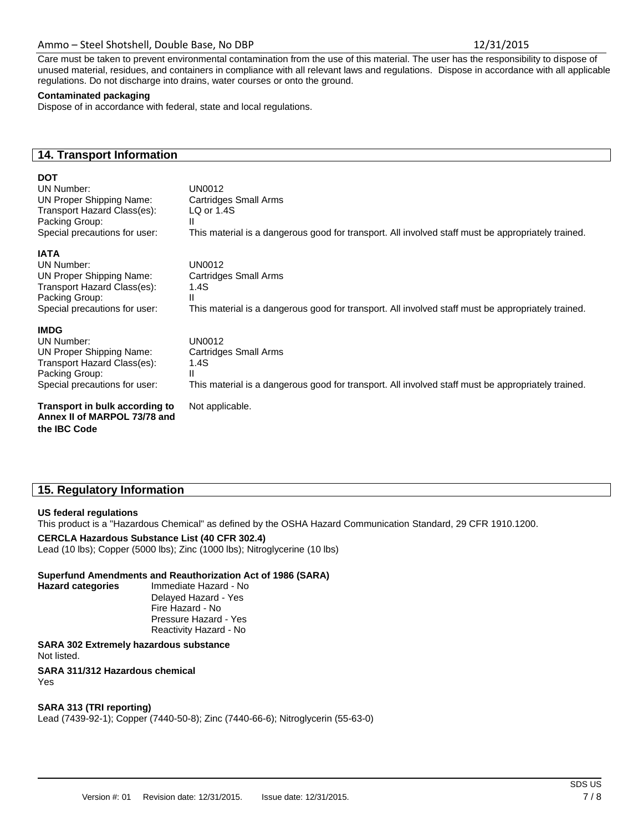# Ammo – Steel Shotshell, Double Base, No DBP 12/31/2015

Care must be taken to prevent environmental contamination from the use of this material. The user has the responsibility to dispose of unused material, residues, and containers in compliance with all relevant laws and regulations. Dispose in accordance with all applicable regulations. Do not discharge into drains, water courses or onto the ground.

#### **Contaminated packaging**

Dispose of in accordance with federal, state and local regulations.

# **14. Transport Information**

## **DOT**

UN Number: UN0012 UN Proper Shipping Name: Cartridges Small Arms Transport Hazard Class(es): LQ or 1.4S Packing Group: II Special precautions for user: This material is a dangerous good for transport. All involved staff must be appropriately trained.

# **IATA**

UN Number: UN0012 UN Proper Shipping Name: Cartridges Small Arms Transport Hazard Class(es): 1.4S Packing Group: II<br>Special precautions for user: T

# **IMDG**

UN Number: UN0012 UN Proper Shipping Name: Cartridges Small Arms Transport Hazard Class(es): 1.4S Packing Group: II

**Transport in bulk according to** Not applicable. **Annex II of MARPOL 73/78 and the IBC Code**

This material is a dangerous good for transport. All involved staff must be appropriately trained.

Special precautions for user: This material is a dangerous good for transport. All involved staff must be appropriately trained.

# **15. Regulatory Information**

## **US federal regulations**

This product is a "Hazardous Chemical" as defined by the OSHA Hazard Communication Standard, 29 CFR 1910.1200.

## **CERCLA Hazardous Substance List (40 CFR 302.4)**

Lead (10 lbs); Copper (5000 lbs); Zinc (1000 lbs); Nitroglycerine (10 lbs)

## **Superfund Amendments and Reauthorization Act of 1986 (SARA)**

**Hazard categories** Immediate Hazard - No Delayed Hazard - Yes Fire Hazard - No Pressure Hazard - Yes Reactivity Hazard - No

**SARA 302 Extremely hazardous substance** Not listed. **SARA 311/312 Hazardous chemical**

Yes

## **SARA 313 (TRI reporting)**

Lead (7439-92-1); Copper (7440-50-8); Zinc (7440-66-6); Nitroglycerin (55-63-0)